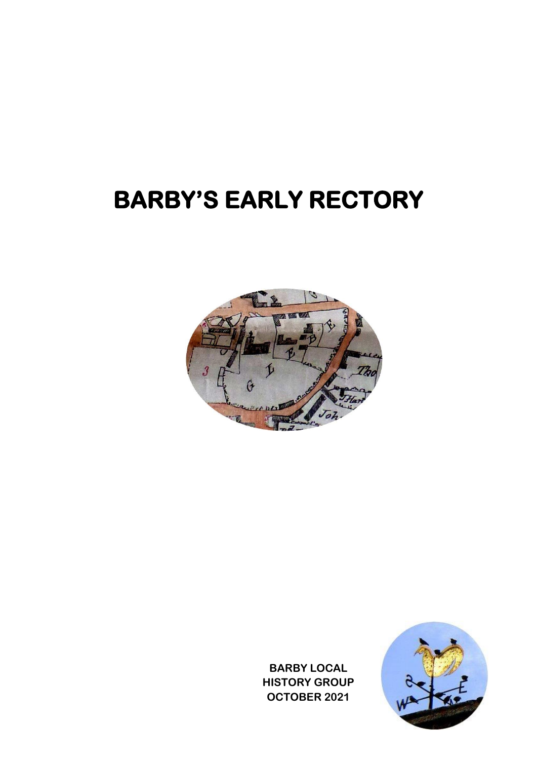## **BARBY'S EARLY RECTORY**



**BARBY LOCAL HISTORY GROUP OCTOBER 2021**

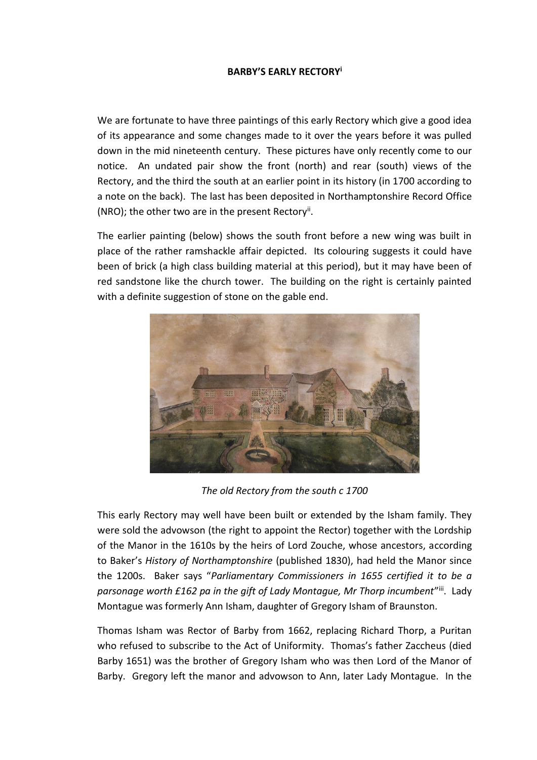## **BARBY'S EARLY RECTORY<sup>i</sup>**

We are fortunate to have three paintings of this early Rectory which give a good idea of its appearance and some changes made to it over the years before it was pulled down in the mid nineteenth century. These pictures have only recently come to our notice. An undated pair show the front (north) and rear (south) views of the Rectory, and the third the south at an earlier point in its history (in 1700 according to a note on the back). The last has been deposited in Northamptonshire Record Office (NRO); the other two are in the present Rectory".

The earlier painting (below) shows the south front before a new wing was built in place of the rather ramshackle affair depicted. Its colouring suggests it could have been of brick (a high class building material at this period), but it may have been of red sandstone like the church tower. The building on the right is certainly painted with a definite suggestion of stone on the gable end.



*The old Rectory from the south c 1700*

This early Rectory may well have been built or extended by the Isham family. They were sold the advowson (the right to appoint the Rector) together with the Lordship of the Manor in the 1610s by the heirs of Lord Zouche, whose ancestors, according to Baker's *History of Northamptonshire* (published 1830), had held the Manor since the 1200s. Baker says "*Parliamentary Commissioners in 1655 certified it to be a*  parsonage worth £162 pa in the gift of Lady Montague, Mr Thorp incumbent<sup>"iii</sup>. Lady Montague was formerly Ann Isham, daughter of Gregory Isham of Braunston.

Thomas Isham was Rector of Barby from 1662, replacing Richard Thorp, a Puritan who refused to subscribe to the Act of Uniformity. Thomas's father Zaccheus (died Barby 1651) was the brother of Gregory Isham who was then Lord of the Manor of Barby. Gregory left the manor and advowson to Ann, later Lady Montague. In the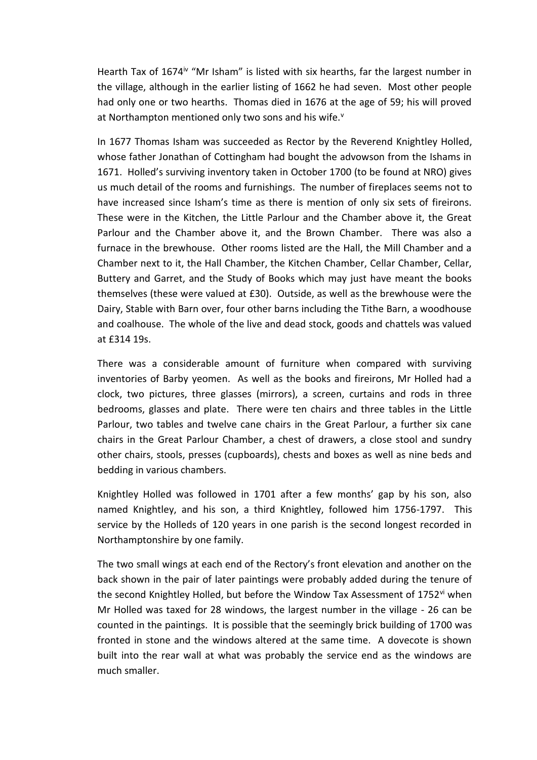Hearth Tax of 1674<sup>iv</sup> "Mr Isham" is listed with six hearths, far the largest number in the village, although in the earlier listing of 1662 he had seven. Most other people had only one or two hearths. Thomas died in 1676 at the age of 59; his will proved at Northampton mentioned only two sons and his wife.<sup>v</sup>

In 1677 Thomas Isham was succeeded as Rector by the Reverend Knightley Holled, whose father Jonathan of Cottingham had bought the advowson from the Ishams in 1671. Holled's surviving inventory taken in October 1700 (to be found at NRO) gives us much detail of the rooms and furnishings. The number of fireplaces seems not to have increased since Isham's time as there is mention of only six sets of fireirons. These were in the Kitchen, the Little Parlour and the Chamber above it, the Great Parlour and the Chamber above it, and the Brown Chamber. There was also a furnace in the brewhouse. Other rooms listed are the Hall, the Mill Chamber and a Chamber next to it, the Hall Chamber, the Kitchen Chamber, Cellar Chamber, Cellar, Buttery and Garret, and the Study of Books which may just have meant the books themselves (these were valued at £30). Outside, as well as the brewhouse were the Dairy, Stable with Barn over, four other barns including the Tithe Barn, a woodhouse and coalhouse. The whole of the live and dead stock, goods and chattels was valued at £314 19s.

There was a considerable amount of furniture when compared with surviving inventories of Barby yeomen. As well as the books and fireirons, Mr Holled had a clock, two pictures, three glasses (mirrors), a screen, curtains and rods in three bedrooms, glasses and plate. There were ten chairs and three tables in the Little Parlour, two tables and twelve cane chairs in the Great Parlour, a further six cane chairs in the Great Parlour Chamber, a chest of drawers, a close stool and sundry other chairs, stools, presses (cupboards), chests and boxes as well as nine beds and bedding in various chambers.

Knightley Holled was followed in 1701 after a few months' gap by his son, also named Knightley, and his son, a third Knightley, followed him 1756-1797. This service by the Holleds of 120 years in one parish is the second longest recorded in Northamptonshire by one family.

The two small wings at each end of the Rectory's front elevation and another on the back shown in the pair of later paintings were probably added during the tenure of the second Knightley Holled, but before the Window Tax Assessment of 1752<sup>vi</sup> when Mr Holled was taxed for 28 windows, the largest number in the village - 26 can be counted in the paintings. It is possible that the seemingly brick building of 1700 was fronted in stone and the windows altered at the same time. A dovecote is shown built into the rear wall at what was probably the service end as the windows are much smaller.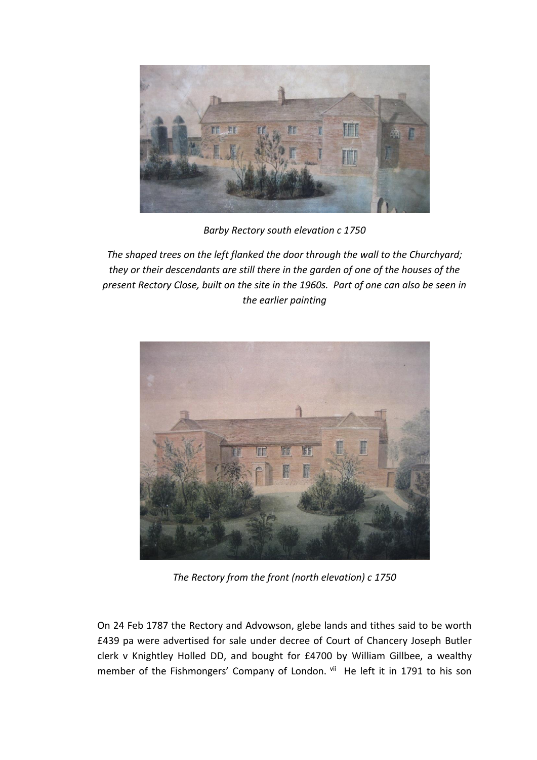

*Barby Rectory south elevation c 1750*

*The shaped trees on the left flanked the door through the wall to the Churchyard; they or their descendants are still there in the garden of one of the houses of the present Rectory Close, built on the site in the 1960s. Part of one can also be seen in the earlier painting*



*The Rectory from the front (north elevation) c 1750*

On 24 Feb 1787 the Rectory and Advowson, glebe lands and tithes said to be worth £439 pa were advertised for sale under decree of Court of Chancery Joseph Butler clerk v Knightley Holled DD, and bought for £4700 by William Gillbee, a wealthy member of the Fishmongers' Company of London. vii He left it in 1791 to his son